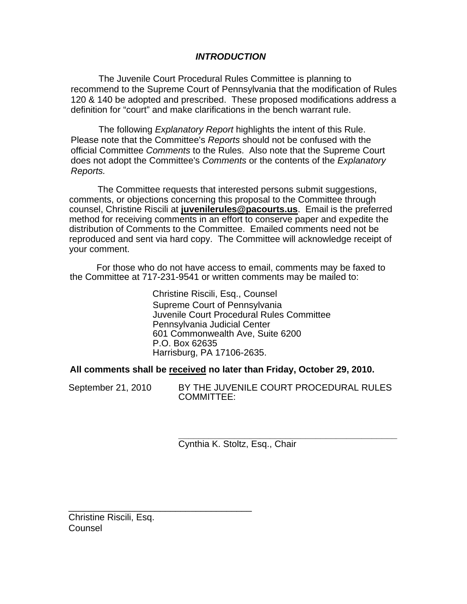# *INTRODUCTION*

The Juvenile Court Procedural Rules Committee is planning to recommend to the Supreme Court of Pennsylvania that the modification of Rules 120 & 140 be adopted and prescribed. These proposed modifications address a definition for "court" and make clarifications in the bench warrant rule.

The following *Explanatory Report* highlights the intent of this Rule. Please note that the Committee's *Reports* should not be confused with the official Committee *Comments* to the Rules. Also note that the Supreme Court does not adopt the Committee's *Comments* or the contents of the *Explanatory Reports.* 

The Committee requests that interested persons submit suggestions, comments, or objections concerning this proposal to the Committee through counsel, Christine Riscili at **juvenilerules@pacourts.us**. Email is the preferred method for receiving comments in an effort to conserve paper and expedite the distribution of Comments to the Committee. Emailed comments need not be reproduced and sent via hard copy. The Committee will acknowledge receipt of your comment.

 For those who do not have access to email, comments may be faxed to the Committee at 717-231-9541 or written comments may be mailed to:

> Christine Riscili, Esq., Counsel Supreme Court of Pennsylvania Juvenile Court Procedural Rules Committee Pennsylvania Judicial Center 601 Commonwealth Ave, Suite 6200 P.O. Box 62635 Harrisburg, PA 17106-2635.

**All comments shall be received no later than Friday, October 29, 2010.** 

September 21, 2010 BY THE JUVENILE COURT PROCEDURAL RULES COMMITTEE:

> **\_\_\_\_\_\_\_\_\_\_\_\_\_\_\_\_\_\_\_\_\_\_\_\_\_\_\_\_\_\_\_\_\_\_\_\_\_\_\_\_\_\_\_**  Cynthia K. Stoltz, Esq., Chair

Christine Riscili, Esq. Counsel

\_\_\_\_\_\_\_\_\_\_\_\_\_\_\_\_\_\_\_\_\_\_\_\_\_\_\_\_\_\_\_\_\_\_\_\_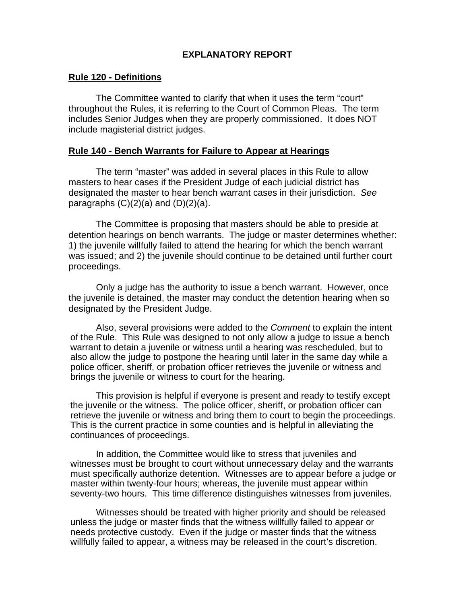# **EXPLANATORY REPORT**

## **Rule 120 - Definitions**

The Committee wanted to clarify that when it uses the term "court" throughout the Rules, it is referring to the Court of Common Pleas. The term includes Senior Judges when they are properly commissioned. It does NOT include magisterial district judges.

## **Rule 140 - Bench Warrants for Failure to Appear at Hearings**

The term "master" was added in several places in this Rule to allow masters to hear cases if the President Judge of each judicial district has designated the master to hear bench warrant cases in their jurisdiction. *See*  paragraphs  $(C)(2)(a)$  and  $(D)(2)(a)$ .

The Committee is proposing that masters should be able to preside at detention hearings on bench warrants. The judge or master determines whether: 1) the juvenile willfully failed to attend the hearing for which the bench warrant was issued; and 2) the juvenile should continue to be detained until further court proceedings.

Only a judge has the authority to issue a bench warrant. However, once the juvenile is detained, the master may conduct the detention hearing when so designated by the President Judge.

Also, several provisions were added to the *Comment* to explain the intent of the Rule. This Rule was designed to not only allow a judge to issue a bench warrant to detain a juvenile or witness until a hearing was rescheduled, but to also allow the judge to postpone the hearing until later in the same day while a police officer, sheriff, or probation officer retrieves the juvenile or witness and brings the juvenile or witness to court for the hearing.

This provision is helpful if everyone is present and ready to testify except the juvenile or the witness. The police officer, sheriff, or probation officer can retrieve the juvenile or witness and bring them to court to begin the proceedings. This is the current practice in some counties and is helpful in alleviating the continuances of proceedings.

In addition, the Committee would like to stress that juveniles and witnesses must be brought to court without unnecessary delay and the warrants must specifically authorize detention. Witnesses are to appear before a judge or master within twenty-four hours; whereas, the juvenile must appear within seventy-two hours. This time difference distinguishes witnesses from juveniles.

Witnesses should be treated with higher priority and should be released unless the judge or master finds that the witness willfully failed to appear or needs protective custody. Even if the judge or master finds that the witness willfully failed to appear, a witness may be released in the court's discretion.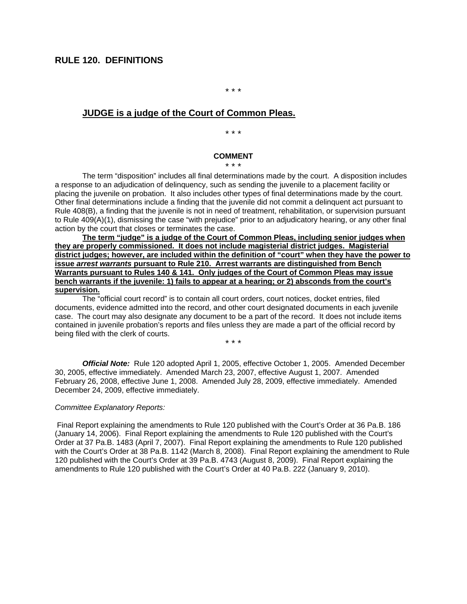\* \* \*

## **JUDGE is a judge of the Court of Common Pleas.**

\* \* \*

### **COMMENT**

\* \* \*

The term "disposition" includes all final determinations made by the court. A disposition includes a response to an adjudication of delinquency, such as sending the juvenile to a placement facility or placing the juvenile on probation. It also includes other types of final determinations made by the court. Other final determinations include a finding that the juvenile did not commit a delinquent act pursuant to Rule 408(B), a finding that the juvenile is not in need of treatment, rehabilitation, or supervision pursuant to Rule 409(A)(1), dismissing the case "with prejudice" prior to an adjudicatory hearing, or any other final action by the court that closes or terminates the case.

**The term "judge" is a judge of the Court of Common Pleas, including senior judges when they are properly commissioned. It does not include magisterial district judges. Magisterial district judges; however, are included within the definition of "court" when they have the power to issue** *arrest warrants* **pursuant to Rule 210. Arrest warrants are distinguished from Bench Warrants pursuant to Rules 140 & 141. Only judges of the Court of Common Pleas may issue bench warrants if the juvenile: 1) fails to appear at a hearing; or 2) absconds from the court's supervision.** 

The "official court record" is to contain all court orders, court notices, docket entries, filed documents, evidence admitted into the record, and other court designated documents in each juvenile case. The court may also designate any document to be a part of the record. It does not include items contained in juvenile probation's reports and files unless they are made a part of the official record by being filed with the clerk of courts.

\* \* \*

*Official Note:* Rule 120 adopted April 1, 2005, effective October 1, 2005. Amended December 30, 2005, effective immediately. Amended March 23, 2007, effective August 1, 2007. Amended February 26, 2008, effective June 1, 2008. Amended July 28, 2009, effective immediately. Amended December 24, 2009, effective immediately.

#### *Committee Explanatory Reports:*

Final Report explaining the amendments to Rule 120 published with the Court's Order at 36 Pa.B. 186 (January 14, 2006). Final Report explaining the amendments to Rule 120 published with the Court's Order at 37 Pa.B. 1483 (April 7, 2007). Final Report explaining the amendments to Rule 120 published with the Court's Order at 38 Pa.B. 1142 (March 8, 2008). Final Report explaining the amendment to Rule 120 published with the Court's Order at 39 Pa.B. 4743 (August 8, 2009). Final Report explaining the amendments to Rule 120 published with the Court's Order at 40 Pa.B. 222 (January 9, 2010).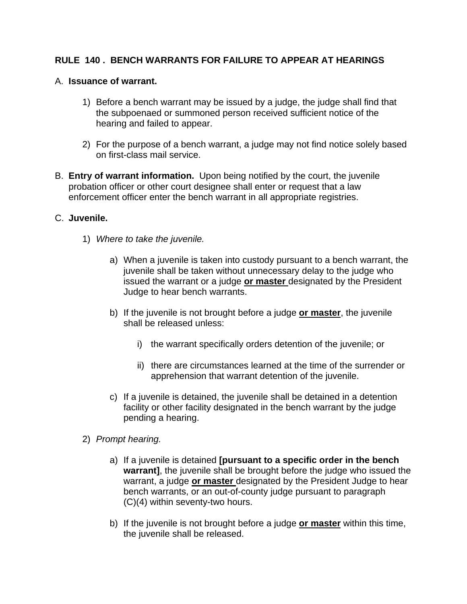# **RULE 140 . BENCH WARRANTS FOR FAILURE TO APPEAR AT HEARINGS**

# A. **Issuance of warrant.**

- 1) Before a bench warrant may be issued by a judge, the judge shall find that the subpoenaed or summoned person received sufficient notice of the hearing and failed to appear.
- 2) For the purpose of a bench warrant, a judge may not find notice solely based on first-class mail service.
- B. **Entry of warrant information.** Upon being notified by the court, the juvenile probation officer or other court designee shall enter or request that a law enforcement officer enter the bench warrant in all appropriate registries.

## C. **Juvenile.**

- 1) *Where to take the juvenile.* 
	- a) When a juvenile is taken into custody pursuant to a bench warrant, the juvenile shall be taken without unnecessary delay to the judge who issued the warrant or a judge **or master** designated by the President Judge to hear bench warrants.
	- b) If the juvenile is not brought before a judge **or master**, the juvenile shall be released unless:
		- i) the warrant specifically orders detention of the juvenile; or
		- ii) there are circumstances learned at the time of the surrender or apprehension that warrant detention of the juvenile.
	- c) If a juvenile is detained, the juvenile shall be detained in a detention facility or other facility designated in the bench warrant by the judge pending a hearing.
- 2) *Prompt hearing.* 
	- a) If a juvenile is detained **[pursuant to a specific order in the bench warrant]**, the juvenile shall be brought before the judge who issued the warrant, a judge **or master** designated by the President Judge to hear bench warrants, or an out-of-county judge pursuant to paragraph (C)(4) within seventy-two hours.
	- b) If the juvenile is not brought before a judge **or master** within this time, the juvenile shall be released.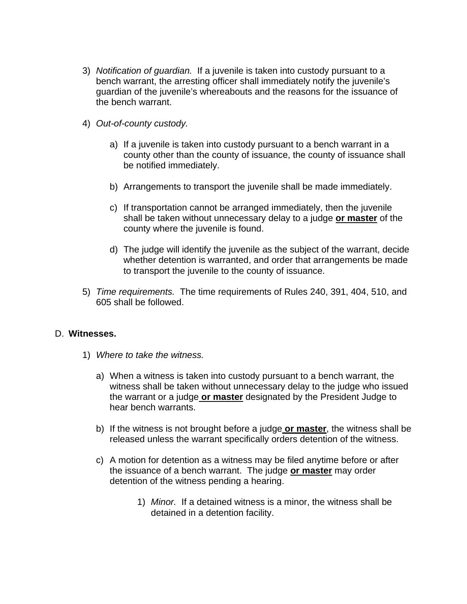- 3) *Notification of guardian.* If a juvenile is taken into custody pursuant to a bench warrant, the arresting officer shall immediately notify the juvenile's guardian of the juvenile's whereabouts and the reasons for the issuance of the bench warrant.
- 4) *Out-of-county custody.* 
	- a) If a juvenile is taken into custody pursuant to a bench warrant in a county other than the county of issuance, the county of issuance shall be notified immediately.
	- b) Arrangements to transport the juvenile shall be made immediately.
	- c) If transportation cannot be arranged immediately, then the juvenile shall be taken without unnecessary delay to a judge **or master** of the county where the juvenile is found.
	- d) The judge will identify the juvenile as the subject of the warrant, decide whether detention is warranted, and order that arrangements be made to transport the juvenile to the county of issuance.
- 5) *Time requirements.* The time requirements of Rules 240, 391, 404, 510, and 605 shall be followed.

# D. **Witnesses.**

- 1) *Where to take the witness.* 
	- a) When a witness is taken into custody pursuant to a bench warrant, the witness shall be taken without unnecessary delay to the judge who issued the warrant or a judge **or master** designated by the President Judge to hear bench warrants.
	- b) If the witness is not brought before a judge **or master**, the witness shall be released unless the warrant specifically orders detention of the witness.
	- c) A motion for detention as a witness may be filed anytime before or after the issuance of a bench warrant. The judge **or master** may order detention of the witness pending a hearing.
		- 1) *Minor.* If a detained witness is a minor, the witness shall be detained in a detention facility.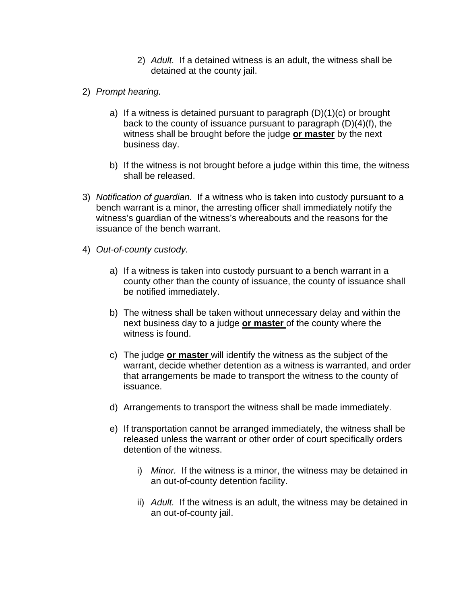- 2) *Adult.* If a detained witness is an adult, the witness shall be detained at the county jail.
- 2) *Prompt hearing.* 
	- a) If a witness is detained pursuant to paragraph (D)(1)(c) or brought back to the county of issuance pursuant to paragraph (D)(4)(f), the witness shall be brought before the judge **or master** by the next business day.
	- b) If the witness is not brought before a judge within this time, the witness shall be released.
- 3) *Notification of guardian.* If a witness who is taken into custody pursuant to a bench warrant is a minor, the arresting officer shall immediately notify the witness's guardian of the witness's whereabouts and the reasons for the issuance of the bench warrant.
- 4) *Out-of-county custody.* 
	- a) If a witness is taken into custody pursuant to a bench warrant in a county other than the county of issuance, the county of issuance shall be notified immediately.
	- b) The witness shall be taken without unnecessary delay and within the next business day to a judge **or master** of the county where the witness is found.
	- c) The judge **or master** will identify the witness as the subject of the warrant, decide whether detention as a witness is warranted, and order that arrangements be made to transport the witness to the county of issuance.
	- d) Arrangements to transport the witness shall be made immediately.
	- e) If transportation cannot be arranged immediately, the witness shall be released unless the warrant or other order of court specifically orders detention of the witness.
		- i) *Minor.* If the witness is a minor, the witness may be detained in an out-of-county detention facility.
		- ii) *Adult.* If the witness is an adult, the witness may be detained in an out-of-county jail.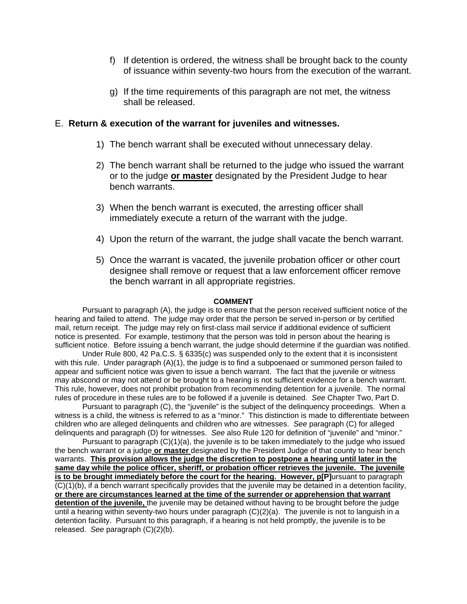- f) If detention is ordered, the witness shall be brought back to the county of issuance within seventy-two hours from the execution of the warrant.
- g) If the time requirements of this paragraph are not met, the witness shall be released.

### E. **Return & execution of the warrant for juveniles and witnesses.**

- 1) The bench warrant shall be executed without unnecessary delay.
- 2) The bench warrant shall be returned to the judge who issued the warrant or to the judge **or master** designated by the President Judge to hear bench warrants.
- 3) When the bench warrant is executed, the arresting officer shall immediately execute a return of the warrant with the judge.
- 4) Upon the return of the warrant, the judge shall vacate the bench warrant.
- 5) Once the warrant is vacated, the juvenile probation officer or other court designee shall remove or request that a law enforcement officer remove the bench warrant in all appropriate registries.

### **COMMENT**

Pursuant to paragraph (A), the judge is to ensure that the person received sufficient notice of the hearing and failed to attend. The judge may order that the person be served in-person or by certified mail, return receipt. The judge may rely on first-class mail service if additional evidence of sufficient notice is presented. For example, testimony that the person was told in person about the hearing is sufficient notice. Before issuing a bench warrant, the judge should determine if the guardian was notified.

Under Rule 800, 42 Pa.C.S. § 6335(c) was suspended only to the extent that it is inconsistent with this rule. Under paragraph (A)(1), the judge is to find a subpoenaed or summoned person failed to appear and sufficient notice was given to issue a bench warrant. The fact that the juvenile or witness may abscond or may not attend or be brought to a hearing is not sufficient evidence for a bench warrant. This rule, however, does not prohibit probation from recommending detention for a juvenile. The normal rules of procedure in these rules are to be followed if a juvenile is detained. *See* Chapter Two, Part D.

Pursuant to paragraph (C), the "juvenile" is the subject of the delinquency proceedings. When a witness is a child, the witness is referred to as a "minor." This distinction is made to differentiate between children who are alleged delinquents and children who are witnesses. *See* paragraph (C) for alleged delinquents and paragraph (D) for witnesses. *See* also Rule 120 for definition of "juvenile" and "minor."

Pursuant to paragraph (C)(1)(a), the juvenile is to be taken immediately to the judge who issued the bench warrant or a judge **or master** designated by the President Judge of that county to hear bench warrants. **This provision allows the judge the discretion to postpone a hearing until later in the same day while the police officer, sheriff, or probation officer retrieves the juvenile. The juvenile is to be brought immediately before the court for the hearing. However, p[P]**ursuant to paragraph (C)(1)(b), if a bench warrant specifically provides that the juvenile may be detained in a detention facility, **or there are circumstances learned at the time of the surrender or apprehension that warrant detention of the juvenile,** the juvenile may be detained without having to be brought before the judge until a hearing within seventy-two hours under paragraph (C)(2)(a). The juvenile is not to languish in a detention facility. Pursuant to this paragraph, if a hearing is not held promptly, the juvenile is to be released. *See* paragraph (C)(2)(b).